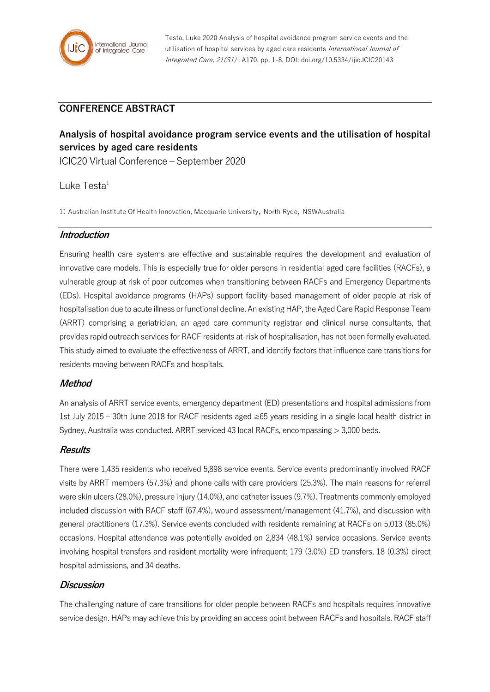

Testa, Luke 2020 Analysis of hospital avoidance program service events and the utilisation of hospital services by aged care residents International Journal of Integrated Care, 21(S1) : A170, pp. 1-8, DOI: doi.org/10.5334/ijic.ICIC20143

# **CONFERENCE ABSTRACT**

# **Analysis of hospital avoidance program service events and the utilisation of hospital services by aged care residents**

ICIC20 Virtual Conference – September 2020

Luke Testa $1$ 

1: Australian Institute Of Health Innovation, Macquarie University, North Ryde, NSWAustralia

#### **Introduction**

Ensuring health care systems are effective and sustainable requires the development and evaluation of innovative care models. This is especially true for older persons in residential aged care facilities (RACFs), a vulnerable group at risk of poor outcomes when transitioning between RACFs and Emergency Departments (EDs). Hospital avoidance programs (HAPs) support facility-based management of older people at risk of hospitalisation due to acute illness or functional decline. An existing HAP, the Aged Care Rapid Response Team (ARRT) comprising a geriatrician, an aged care community registrar and clinical nurse consultants, that provides rapid outreach services for RACF residents at-risk of hospitalisation, has not been formally evaluated. This study aimed to evaluate the effectiveness of ARRT, and identify factors that influence care transitions for residents moving between RACFs and hospitals.

#### **Method**

An analysis of ARRT service events, emergency department (ED) presentations and hospital admissions from 1st July 2015 – 30th June 2018 for RACF residents aged ≥65 years residing in a single local health district in Sydney, Australia was conducted. ARRT serviced 43 local RACFs, encompassing > 3,000 beds.

#### **Results**

There were 1,435 residents who received 5,898 service events. Service events predominantly involved RACF visits by ARRT members (57.3%) and phone calls with care providers (25.3%). The main reasons for referral were skin ulcers (28.0%), pressure injury (14.0%), and catheter issues (9.7%). Treatments commonly employed included discussion with RACF staff (67.4%), wound assessment/management (41.7%), and discussion with general practitioners (17.3%). Service events concluded with residents remaining at RACFs on 5,013 (85.0%) occasions. Hospital attendance was potentially avoided on 2,834 (48.1%) service occasions. Service events involving hospital transfers and resident mortality were infrequent: 179 (3.0%) ED transfers, 18 (0.3%) direct hospital admissions, and 34 deaths.

#### **Discussion**

The challenging nature of care transitions for older people between RACFs and hospitals requires innovative service design. HAPs may achieve this by providing an access point between RACFs and hospitals. RACF staff